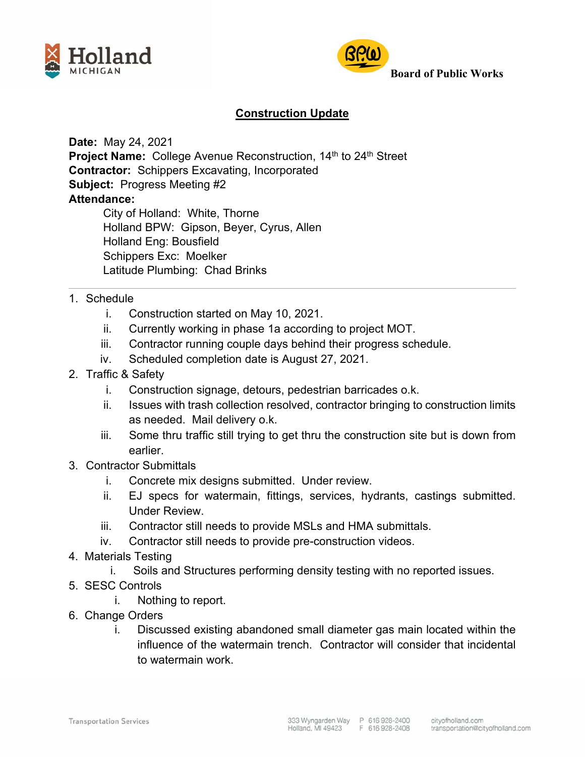



## **Board of Public Works**

## **Construction Update**

**Date:** May 24, 2021

**Project Name:** College Avenue Reconstruction, 14<sup>th</sup> to 24<sup>th</sup> Street **Contractor:** Schippers Excavating, Incorporated **Subject:** Progress Meeting #2 **Attendance:**  City of Holland: White, Thorne Holland BPW: Gipson, Beyer, Cyrus, Allen

 Holland Eng: Bousfield Schippers Exc: Moelker Latitude Plumbing: Chad Brinks

- 1. Schedule
	- i. Construction started on May 10, 2021.
	- ii. Currently working in phase 1a according to project MOT.
	- iii. Contractor running couple days behind their progress schedule.
	- iv. Scheduled completion date is August 27, 2021.
- 2. Traffic & Safety
	- i. Construction signage, detours, pedestrian barricades o.k.
	- ii. Issues with trash collection resolved, contractor bringing to construction limits as needed. Mail delivery o.k.
	- iii. Some thru traffic still trying to get thru the construction site but is down from earlier.
- 3. Contractor Submittals
	- i. Concrete mix designs submitted. Under review.
	- ii. EJ specs for watermain, fittings, services, hydrants, castings submitted. Under Review.
	- iii. Contractor still needs to provide MSLs and HMA submittals.
	- iv. Contractor still needs to provide pre-construction videos.
- 4. Materials Testing
	- i. Soils and Structures performing density testing with no reported issues.
- 5. SESC Controls
	- i. Nothing to report.
- 6. Change Orders
	- i. Discussed existing abandoned small diameter gas main located within the influence of the watermain trench. Contractor will consider that incidental to watermain work.